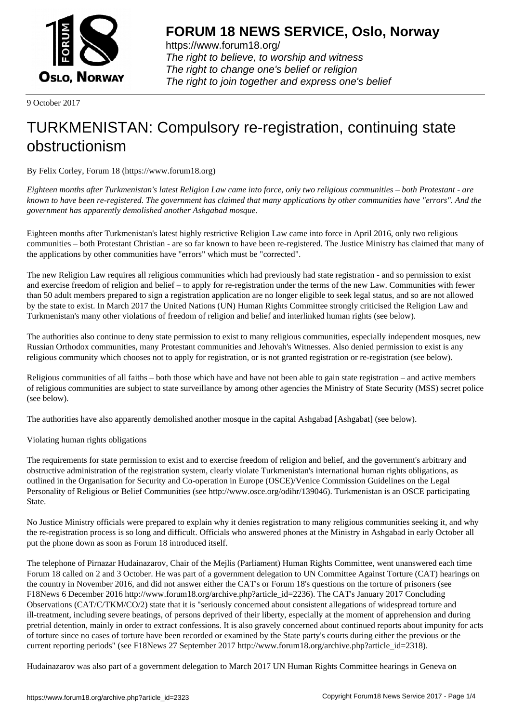

https://www.forum18.org/ The right to believe, to worship and witness The right to change one's belief or religion [The right to join together a](https://www.forum18.org/)nd express one's belief

9 October 2017

## [TURKMENISTA](https://www.forum18.org)N: Compulsory re-registration, continuing state obstructionism

By Felix Corley, Forum 18 (https://www.forum18.org)

*Eighteen months after Turkmenistan's latest Religion Law came into force, only two religious communities – both Protestant - are known to have been re-registered. The government has claimed that many applications by other communities have "errors". And the government has apparently demolished another Ashgabad mosque.*

Eighteen months after Turkmenistan's latest highly restrictive Religion Law came into force in April 2016, only two religious communities – both Protestant Christian - are so far known to have been re-registered. The Justice Ministry has claimed that many of the applications by other communities have "errors" which must be "corrected".

The new Religion Law requires all religious communities which had previously had state registration - and so permission to exist and exercise freedom of religion and belief – to apply for re-registration under the terms of the new Law. Communities with fewer than 50 adult members prepared to sign a registration application are no longer eligible to seek legal status, and so are not allowed by the state to exist. In March 2017 the United Nations (UN) Human Rights Committee strongly criticised the Religion Law and Turkmenistan's many other violations of freedom of religion and belief and interlinked human rights (see below).

The authorities also continue to deny state permission to exist to many religious communities, especially independent mosques, new Russian Orthodox communities, many Protestant communities and Jehovah's Witnesses. Also denied permission to exist is any religious community which chooses not to apply for registration, or is not granted registration or re-registration (see below).

Religious communities of all faiths – both those which have and have not been able to gain state registration – and active members of religious communities are subject to state surveillance by among other agencies the Ministry of State Security (MSS) secret police (see below).

The authorities have also apparently demolished another mosque in the capital Ashgabad [Ashgabat] (see below).

Violating human rights obligations

The requirements for state permission to exist and to exercise freedom of religion and belief, and the government's arbitrary and obstructive administration of the registration system, clearly violate Turkmenistan's international human rights obligations, as outlined in the Organisation for Security and Co-operation in Europe (OSCE)/Venice Commission Guidelines on the Legal Personality of Religious or Belief Communities (see http://www.osce.org/odihr/139046). Turkmenistan is an OSCE participating State.

No Justice Ministry officials were prepared to explain why it denies registration to many religious communities seeking it, and why the re-registration process is so long and difficult. Officials who answered phones at the Ministry in Ashgabad in early October all put the phone down as soon as Forum 18 introduced itself.

The telephone of Pirnazar Hudainazarov, Chair of the Mejlis (Parliament) Human Rights Committee, went unanswered each time Forum 18 called on 2 and 3 October. He was part of a government delegation to UN Committee Against Torture (CAT) hearings on the country in November 2016, and did not answer either the CAT's or Forum 18's questions on the torture of prisoners (see F18News 6 December 2016 http://www.forum18.org/archive.php?article\_id=2236). The CAT's January 2017 Concluding Observations (CAT/C/TKM/CO/2) state that it is "seriously concerned about consistent allegations of widespread torture and ill-treatment, including severe beatings, of persons deprived of their liberty, especially at the moment of apprehension and during pretrial detention, mainly in order to extract confessions. It is also gravely concerned about continued reports about impunity for acts of torture since no cases of torture have been recorded or examined by the State party's courts during either the previous or the current reporting periods" (see F18News 27 September 2017 http://www.forum18.org/archive.php?article\_id=2318).

Hudainazarov was also part of a government delegation to March 2017 UN Human Rights Committee hearings in Geneva on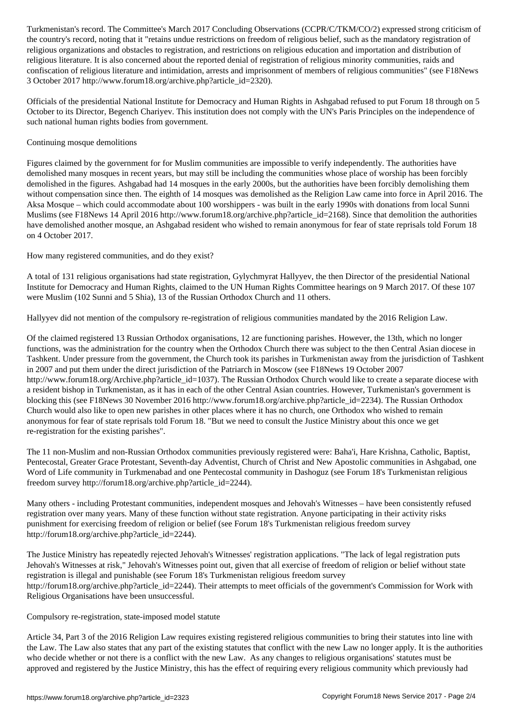the country's record, noting that it "retains undue restrictions on freedom of religious belief, such as the mandatory registration of religious organizations and obstacles to registration, and restrictions on religious education and importation and distribution of religious literature. It is also concerned about the reported denial of registration of religious minority communities, raids and confiscation of religious literature and intimidation, arrests and imprisonment of members of religious communities" (see F18News 3 October 2017 http://www.forum18.org/archive.php?article\_id=2320).

Officials of the presidential National Institute for Democracy and Human Rights in Ashgabad refused to put Forum 18 through on 5 October to its Director, Begench Chariyev. This institution does not comply with the UN's Paris Principles on the independence of such national human rights bodies from government.

## Continuing mosque demolitions

Figures claimed by the government for for Muslim communities are impossible to verify independently. The authorities have demolished many mosques in recent years, but may still be including the communities whose place of worship has been forcibly demolished in the figures. Ashgabad had 14 mosques in the early 2000s, but the authorities have been forcibly demolishing them without compensation since then. The eighth of 14 mosques was demolished as the Religion Law came into force in April 2016. The Aksa Mosque – which could accommodate about 100 worshippers - was built in the early 1990s with donations from local Sunni Muslims (see F18News 14 April 2016 http://www.forum18.org/archive.php?article\_id=2168). Since that demolition the authorities have demolished another mosque, an Ashgabad resident who wished to remain anonymous for fear of state reprisals told Forum 18 on 4 October 2017.

How many registered communities, and do they exist?

A total of 131 religious organisations had state registration, Gylychmyrat Hallyyev, the then Director of the presidential National Institute for Democracy and Human Rights, claimed to the UN Human Rights Committee hearings on 9 March 2017. Of these 107 were Muslim (102 Sunni and 5 Shia), 13 of the Russian Orthodox Church and 11 others.

Hallyyev did not mention of the compulsory re-registration of religious communities mandated by the 2016 Religion Law.

Of the claimed registered 13 Russian Orthodox organisations, 12 are functioning parishes. However, the 13th, which no longer functions, was the administration for the country when the Orthodox Church there was subject to the then Central Asian diocese in Tashkent. Under pressure from the government, the Church took its parishes in Turkmenistan away from the jurisdiction of Tashkent in 2007 and put them under the direct jurisdiction of the Patriarch in Moscow (see F18News 19 October 2007 http://www.forum18.org/Archive.php?article\_id=1037). The Russian Orthodox Church would like to create a separate diocese with a resident bishop in Turkmenistan, as it has in each of the other Central Asian countries. However, Turkmenistan's government is blocking this (see F18News 30 November 2016 http://www.forum18.org/archive.php?article\_id=2234). The Russian Orthodox Church would also like to open new parishes in other places where it has no church, one Orthodox who wished to remain anonymous for fear of state reprisals told Forum 18. "But we need to consult the Justice Ministry about this once we get re-registration for the existing parishes".

The 11 non-Muslim and non-Russian Orthodox communities previously registered were: Baha'i, Hare Krishna, Catholic, Baptist, Pentecostal, Greater Grace Protestant, Seventh-day Adventist, Church of Christ and New Apostolic communities in Ashgabad, one Word of Life community in Turkmenabad and one Pentecostal community in Dashoguz (see Forum 18's Turkmenistan religious freedom survey http://forum18.org/archive.php?article\_id=2244).

Many others - including Protestant communities, independent mosques and Jehovah's Witnesses – have been consistently refused registration over many years. Many of these function without state registration. Anyone participating in their activity risks punishment for exercising freedom of religion or belief (see Forum 18's Turkmenistan religious freedom survey http://forum18.org/archive.php?article\_id=2244).

The Justice Ministry has repeatedly rejected Jehovah's Witnesses' registration applications. "The lack of legal registration puts Jehovah's Witnesses at risk," Jehovah's Witnesses point out, given that all exercise of freedom of religion or belief without state registration is illegal and punishable (see Forum 18's Turkmenistan religious freedom survey http://forum18.org/archive.php?article\_id=2244). Their attempts to meet officials of the government's Commission for Work with Religious Organisations have been unsuccessful.

Compulsory re-registration, state-imposed model statute

Article 34, Part 3 of the 2016 Religion Law requires existing registered religious communities to bring their statutes into line with the Law. The Law also states that any part of the existing statutes that conflict with the new Law no longer apply. It is the authorities who decide whether or not there is a conflict with the new Law. As any changes to religious organisations' statutes must be approved and registered by the Justice Ministry, this has the effect of requiring every religious community which previously had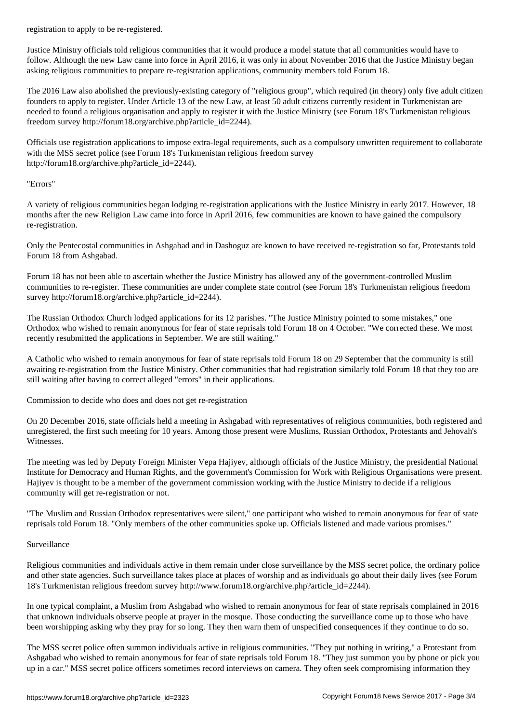Justice Ministry officials told religious communities that it would produce a model statute that all communities would have to follow. Although the new Law came into force in April 2016, it was only in about November 2016 that the Justice Ministry began asking religious communities to prepare re-registration applications, community members told Forum 18.

The 2016 Law also abolished the previously-existing category of "religious group", which required (in theory) only five adult citizen founders to apply to register. Under Article 13 of the new Law, at least 50 adult citizens currently resident in Turkmenistan are needed to found a religious organisation and apply to register it with the Justice Ministry (see Forum 18's Turkmenistan religious freedom survey http://forum18.org/archive.php?article\_id=2244).

Officials use registration applications to impose extra-legal requirements, such as a compulsory unwritten requirement to collaborate with the MSS secret police (see Forum 18's Turkmenistan religious freedom survey http://forum18.org/archive.php?article\_id=2244).

## "Errors"

A variety of religious communities began lodging re-registration applications with the Justice Ministry in early 2017. However, 18 months after the new Religion Law came into force in April 2016, few communities are known to have gained the compulsory re-registration.

Only the Pentecostal communities in Ashgabad and in Dashoguz are known to have received re-registration so far, Protestants told Forum 18 from Ashgabad.

Forum 18 has not been able to ascertain whether the Justice Ministry has allowed any of the government-controlled Muslim communities to re-register. These communities are under complete state control (see Forum 18's Turkmenistan religious freedom survey http://forum18.org/archive.php?article\_id=2244).

The Russian Orthodox Church lodged applications for its 12 parishes. "The Justice Ministry pointed to some mistakes," one Orthodox who wished to remain anonymous for fear of state reprisals told Forum 18 on 4 October. "We corrected these. We most recently resubmitted the applications in September. We are still waiting."

A Catholic who wished to remain anonymous for fear of state reprisals told Forum 18 on 29 September that the community is still awaiting re-registration from the Justice Ministry. Other communities that had registration similarly told Forum 18 that they too are still waiting after having to correct alleged "errors" in their applications.

Commission to decide who does and does not get re-registration

On 20 December 2016, state officials held a meeting in Ashgabad with representatives of religious communities, both registered and unregistered, the first such meeting for 10 years. Among those present were Muslims, Russian Orthodox, Protestants and Jehovah's Witnesses.

The meeting was led by Deputy Foreign Minister Vepa Hajiyev, although officials of the Justice Ministry, the presidential National Institute for Democracy and Human Rights, and the government's Commission for Work with Religious Organisations were present. Hajiyev is thought to be a member of the government commission working with the Justice Ministry to decide if a religious community will get re-registration or not.

"The Muslim and Russian Orthodox representatives were silent," one participant who wished to remain anonymous for fear of state reprisals told Forum 18. "Only members of the other communities spoke up. Officials listened and made various promises."

## Surveillance

Religious communities and individuals active in them remain under close surveillance by the MSS secret police, the ordinary police and other state agencies. Such surveillance takes place at places of worship and as individuals go about their daily lives (see Forum 18's Turkmenistan religious freedom survey http://www.forum18.org/archive.php?article\_id=2244).

In one typical complaint, a Muslim from Ashgabad who wished to remain anonymous for fear of state reprisals complained in 2016 that unknown individuals observe people at prayer in the mosque. Those conducting the surveillance come up to those who have been worshipping asking why they pray for so long. They then warn them of unspecified consequences if they continue to do so.

The MSS secret police often summon individuals active in religious communities. "They put nothing in writing," a Protestant from Ashgabad who wished to remain anonymous for fear of state reprisals told Forum 18. "They just summon you by phone or pick you up in a car." MSS secret police officers sometimes record interviews on camera. They often seek compromising information they